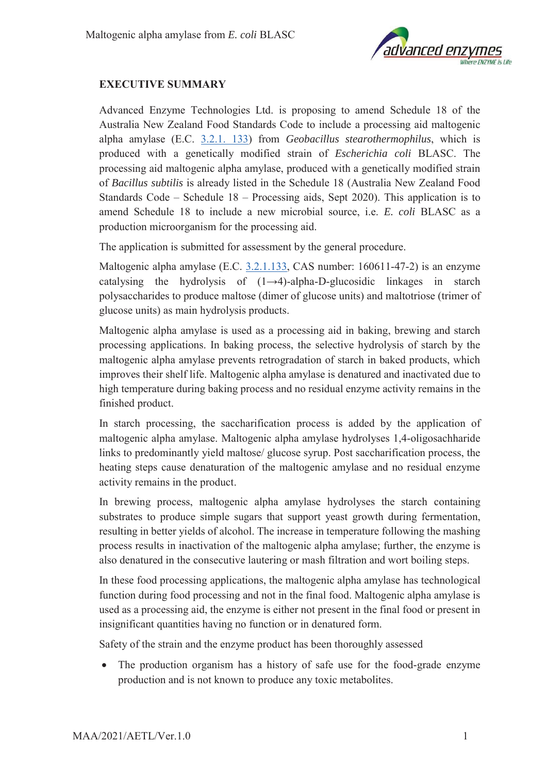

## **EXECUTIVE SUMMARY**

Advanced Enzyme Technologies Ltd. is proposing to amend Schedule 18 of the Australia New Zealand Food Standards Code to include a processing aid maltogenic alpha amylase (E.C. 3.2.1. 133) from *Geobacillus stearothermophilus*, which is produced with a genetically modified strain of *Escherichia coli* BLASC. The processing aid maltogenic alpha amylase, produced with a genetically modified strain of *Bacillus subtilis* is already listed in the Schedule 18 (Australia New Zealand Food Standards Code – Schedule 18 – Processing aids, Sept 2020). This application is to amend Schedule 18 to include a new microbial source, i.e. *E. coli* BLASC as a production microorganism for the processing aid.

The application is submitted for assessment by the general procedure.

Maltogenic alpha amylase (E.C. 3.2.1.133, CAS number: 160611-47-2) is an enzyme catalysing the hydrolysis of  $(1\rightarrow 4)$ -alpha-D-glucosidic linkages in starch polysaccharides to produce maltose (dimer of glucose units) and maltotriose (trimer of glucose units) as main hydrolysis products.

Maltogenic alpha amylase is used as a processing aid in baking, brewing and starch processing applications. In baking process, the selective hydrolysis of starch by the maltogenic alpha amylase prevents retrogradation of starch in baked products, which improves their shelf life. Maltogenic alpha amylase is denatured and inactivated due to high temperature during baking process and no residual enzyme activity remains in the finished product.

In starch processing, the saccharification process is added by the application of maltogenic alpha amylase. Maltogenic alpha amylase hydrolyses 1,4-oligosachharide links to predominantly yield maltose/ glucose syrup. Post saccharification process, the heating steps cause denaturation of the maltogenic amylase and no residual enzyme activity remains in the product.

In brewing process, maltogenic alpha amylase hydrolyses the starch containing substrates to produce simple sugars that support yeast growth during fermentation, resulting in better yields of alcohol. The increase in temperature following the mashing process results in inactivation of the maltogenic alpha amylase; further, the enzyme is also denatured in the consecutive lautering or mash filtration and wort boiling steps.

In these food processing applications, the maltogenic alpha amylase has technological function during food processing and not in the final food. Maltogenic alpha amylase is used as a processing aid, the enzyme is either not present in the final food or present in insignificant quantities having no function or in denatured form.

Safety of the strain and the enzyme product has been thoroughly assessed

• The production organism has a history of safe use for the food-grade enzyme production and is not known to produce any toxic metabolites.